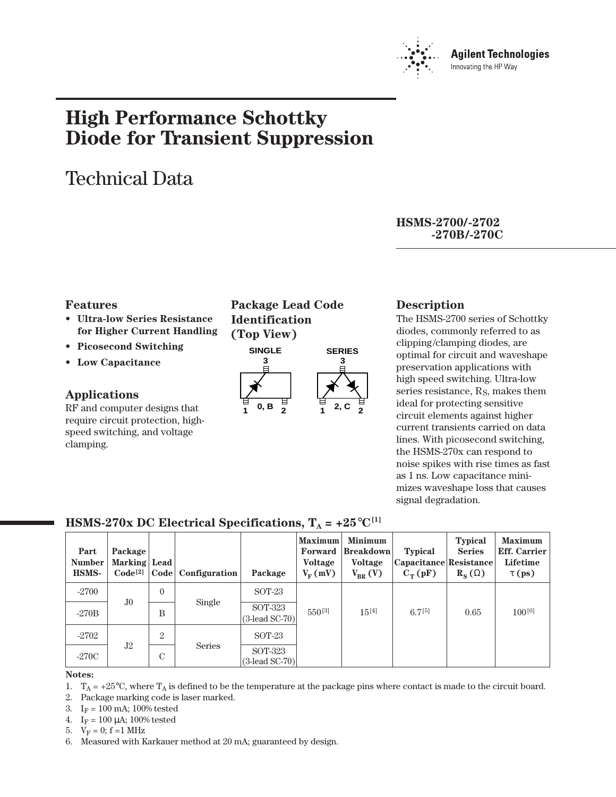

# **High Performance Schottky Diode for Transient Suppression**

# Technical Data

**HSMS-2700/-2702 -270B/-270C**

#### **Features**

- **Ultra-low Series Resistance for Higher Current Handling**
- **Picosecond Switching**
- **Low Capacitance**

## **Applications**

RF and computer designs that require circuit protection, highspeed switching, and voltage clamping.

**Package Lead Code Identification (Top View)**



#### **Description**

The HSMS-2700 series of Schottky diodes, commonly referred to as clipping/clamping diodes, are optimal for circuit and waveshape preservation applications with high speed switching. Ultra-low series resistance, RS, makes them ideal for protecting sensitive circuit elements against higher current transients carried on data lines. With picosecond switching, the HSMS-270x can respond to noise spikes with rise times as fast as 1 ns. Low capacitance minimizes waveshape loss that causes signal degradation.

| Part<br><b>Number</b><br><b>HSMS-</b> | Package<br>Marking Lead<br>Code <sup>[2]</sup> |                | Code   Configuration | Package                      | <b>Maximum</b><br>Forward<br>Voltage<br>$V_{\rm E}$ (mV) | <b>Minimum</b><br><b>Breakdown</b><br><b>Voltage</b><br>$V_{BR} (V)$ | <b>Typical</b><br>Capacitance Resistance<br>$C_T(pF)$ | <b>Typical</b><br><b>Series</b><br>$R_{\rm S}(\Omega)$ | <b>Maximum</b><br><b>Eff.</b> Carrier<br><b>Lifetime</b><br>$\tau$ (ps) |
|---------------------------------------|------------------------------------------------|----------------|----------------------|------------------------------|----------------------------------------------------------|----------------------------------------------------------------------|-------------------------------------------------------|--------------------------------------------------------|-------------------------------------------------------------------------|
| $-2700$                               |                                                | $\theta$       |                      | SOT-23                       |                                                          |                                                                      |                                                       |                                                        |                                                                         |
| $-270B$                               | J <sub>0</sub>                                 | B              | Single               | SOT-323<br>$(3$ -lead SC-70) | $550^{[3]}$                                              | $15^{[4]}$                                                           | $6.7^{[5]}$                                           | 0.65                                                   | $100^{[6]}$                                                             |
| $-2702$                               |                                                | $\overline{2}$ |                      | $SOT-23$                     |                                                          |                                                                      |                                                       |                                                        |                                                                         |
| $-270C$                               | J2                                             | C              | <b>Series</b>        | SOT-323<br>$(3$ -lead SC-70) |                                                          |                                                                      |                                                       |                                                        |                                                                         |

# **HSMS-270x DC Electrical Specifications,**  $T_A = +25^{\circ}C^{[1]}$

#### **Notes:**

1.  $T_A = +25^{\circ}$ C, where  $T_A$  is defined to be the temperature at the package pins where contact is made to the circuit board.

2. Package marking code is laser marked.

- 3.  $I_F = 100$  mA; 100% tested
- 4.  $I_F = 100 \mu A$ ; 100% tested
- 5.  $V_F = 0$ ; f = 1 MHz
- 6. Measured with Karkauer method at 20 mA; guaranteed by design.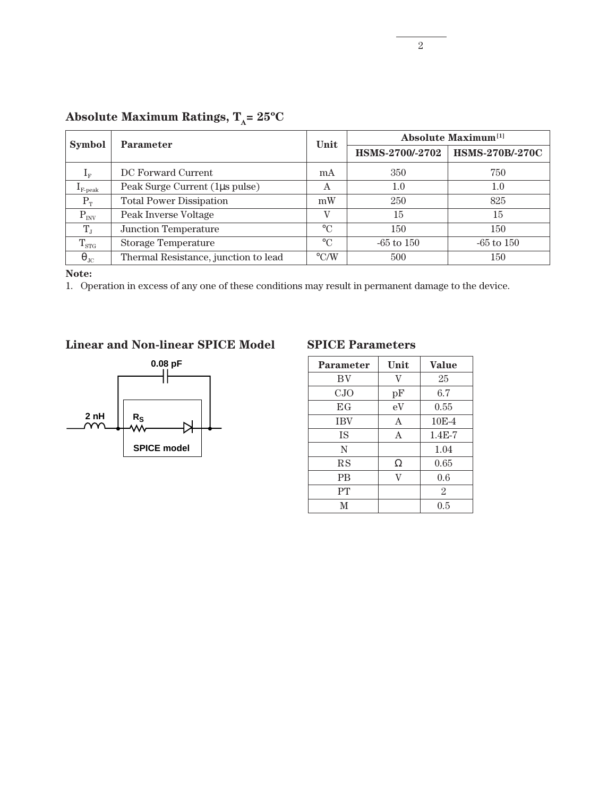| <b>Symbol</b>          | <b>Parameter</b>                     | Unit               | <b>Absolute Maximum</b> <sup>[1]</sup> |                        |  |
|------------------------|--------------------------------------|--------------------|----------------------------------------|------------------------|--|
|                        |                                      |                    | HSMS-2700/-2702                        | <b>HSMS-270B/-270C</b> |  |
| $1_{\rm F}$            | DC Forward Current                   | mA                 | 350                                    | 750                    |  |
| $I_{\text{F-peak}}$    | Peak Surge Current (1µs pulse)       | Α                  | 1.0                                    | $1.0\,$                |  |
| $P_T$                  | <b>Total Power Dissipation</b>       | mW                 | 250                                    | 825                    |  |
| $P_{INV}$              | Peak Inverse Voltage                 | V                  | 15                                     | 15                     |  |
| $T_{J}$                | <b>Junction Temperature</b>          | $\circ$ C          | 150                                    | 150                    |  |
| $T_{\rm STG}$          | <b>Storage Temperature</b>           | $\rm ^{\circ}C$    | $-65$ to $150$                         | $-65$ to $150$         |  |
| $\Theta$ <sub>JC</sub> | Thermal Resistance, junction to lead | $\rm ^{\circ} C/W$ | 500                                    | 150                    |  |

# Absolute Maximum Ratings,  $T_A = 25^{\circ}C$

**Note:**

1. Operation in excess of any one of these conditions may result in permanent damage to the device.

## **Linear and Non-linear SPICE Model SPICE Parameters**



| <b>Parameter</b> | Unit         | <b>Value</b>   |
|------------------|--------------|----------------|
| BV               | V            | 25             |
| CJO              | pF           | 6.7            |
| EG               | eV           | 0.55           |
| <b>IBV</b>       | $\mathsf{A}$ | $10E-4$        |
| <b>IS</b>        | A            | $1.4E-7$       |
| N                |              | 1.04           |
| RS               | Ω            | 0.65           |
| <b>PB</b>        | v            | 0.6            |
| PT               |              | $\overline{2}$ |
| M                |              | 0.5            |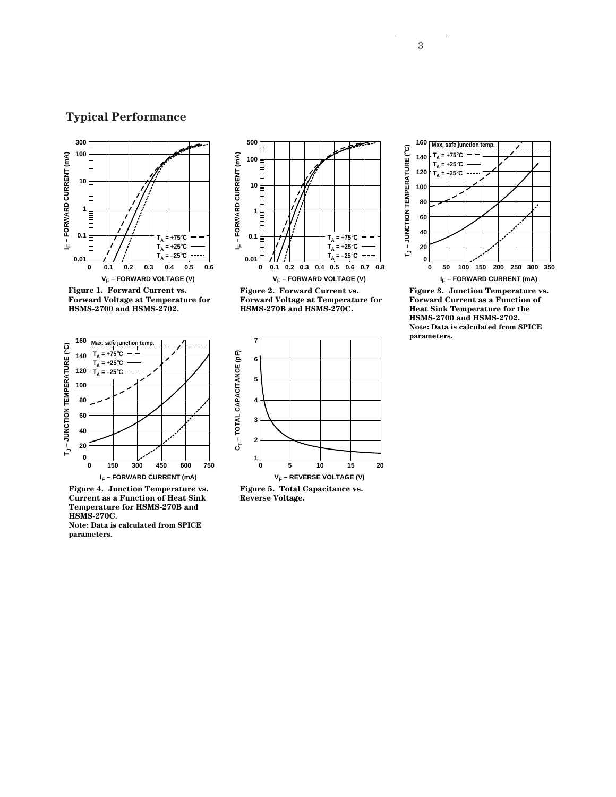# **Typical Performance**



**Figure 1. Forward Current vs. Forward Voltage at Temperature for HSMS-2700 and HSMS-2702.**



**Figure 4. Junction Temperature vs. Current as a Function of Heat Sink Temperature for HSMS-270B and HSMS-270C. Note: Data is calculated from SPICE** 

**parameters.**



**V<sub>F</sub> – FORWARD VOLTAGE (V)** 

**Figure 2. Forward Current vs. Forward Voltage at Temperature for HSMS-270B and HSMS-270C.**



**Reverse Voltage.**



**Figure 3. Junction Temperature vs. Forward Current as a Function of Heat Sink Temperature for the HSMS-2700 and HSMS-2702. Note: Data is calculated from SPICE parameters.**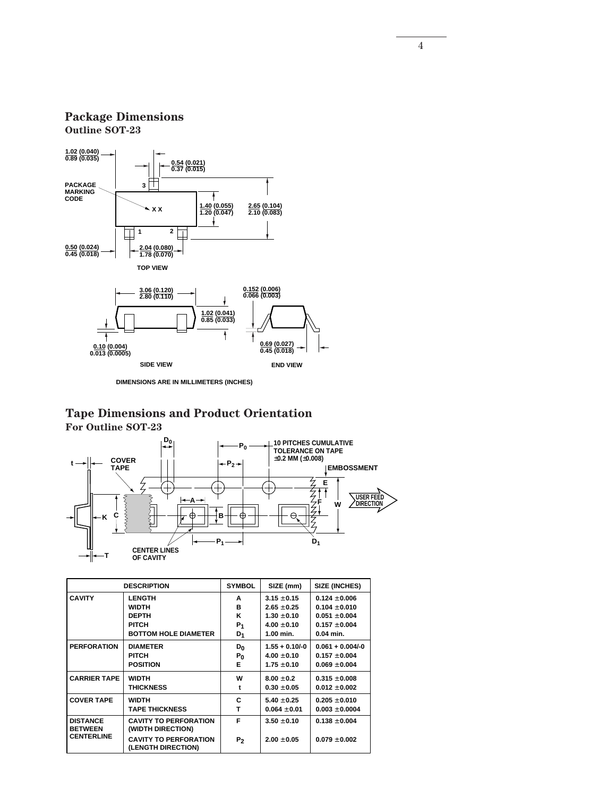### **Package Dimensions Outline SOT-23**



**DIMENSIONS ARE IN MILLIMETERS (INCHES)**

### **Tape Dimensions and Product Orientation For Outline SOT-23**



| <b>DESCRIPTION</b>                |                                                    | <b>SYMBOL</b>  | SIZE (mm)        | SIZE (INCHES)      |
|-----------------------------------|----------------------------------------------------|----------------|------------------|--------------------|
| <b>CAVITY</b>                     | <b>LENGTH</b>                                      | A              | $3.15 \pm 0.15$  | $0.124 \pm 0.006$  |
|                                   | <b>WIDTH</b>                                       | в              | $2.65 \pm 0.25$  | $0.104 \pm 0.010$  |
|                                   | <b>DEPTH</b>                                       | Κ              | $1.30 + 0.10$    | $0.051 + 0.004$    |
|                                   | <b>PITCH</b>                                       | $P_1$          | $4.00 + 0.10$    | $0.157 \pm 0.004$  |
|                                   | <b>BOTTOM HOLE DIAMETER</b>                        | D <sub>1</sub> | 1.00 min.        | $0.04$ min.        |
| <b>PERFORATION</b>                | <b>DIAMETER</b>                                    | D <sub>0</sub> | $1.55 + 0.10/-0$ | $0.061 + 0.004/-0$ |
|                                   | PITCH                                              | $P_0$          | $4.00 \pm 0.10$  | $0.157 \pm 0.004$  |
|                                   | <b>POSITION</b>                                    | Е              | $1.75 + 0.10$    | $0.069 \pm 0.004$  |
| <b>CARRIER TAPE</b>               | <b>WIDTH</b>                                       | w              | $8.00 + 0.2$     | $0.315 \pm 0.008$  |
|                                   | <b>THICKNESS</b>                                   | t              | $0.30 \pm 0.05$  | $0.012 \pm 0.002$  |
| <b>COVER TAPE</b>                 | <b>WIDTH</b>                                       | c              | $5.40 + 0.25$    | $0.205 \pm 0.010$  |
|                                   | <b>TAPE THICKNESS</b>                              | т              | $0.064 \pm 0.01$ | $0.003 \pm 0.0004$ |
| <b>DISTANCE</b><br><b>BETWEEN</b> | <b>CAVITY TO PERFORATION</b><br>(WIDTH DIRECTION)  | F              | $3.50 + 0.10$    | $0.138 + 0.004$    |
| <b>CENTERLINE</b>                 | <b>CAVITY TO PERFORATION</b><br>(LENGTH DIRECTION) | P <sub>2</sub> | $2.00 + 0.05$    | $0.079 + 0.002$    |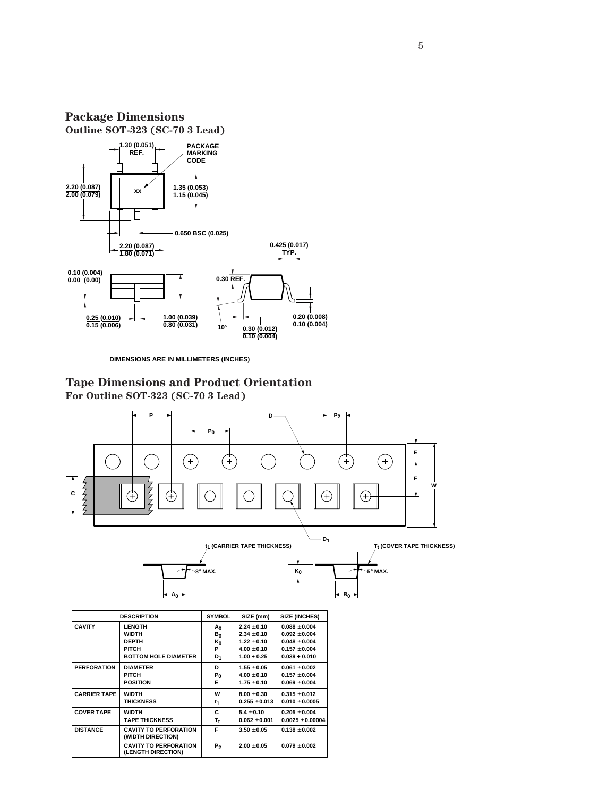**Package Dimensions Outline SOT-323 (SC-70 3 Lead) 1.30 (0.051) REF. PACKAGE MARKING CODE**



**DIMENSIONS ARE IN MILLIMETERS (INCHES)**

**Tape Dimensions and Product Orientation For Outline SOT-323 (SC-70 3 Lead)**



5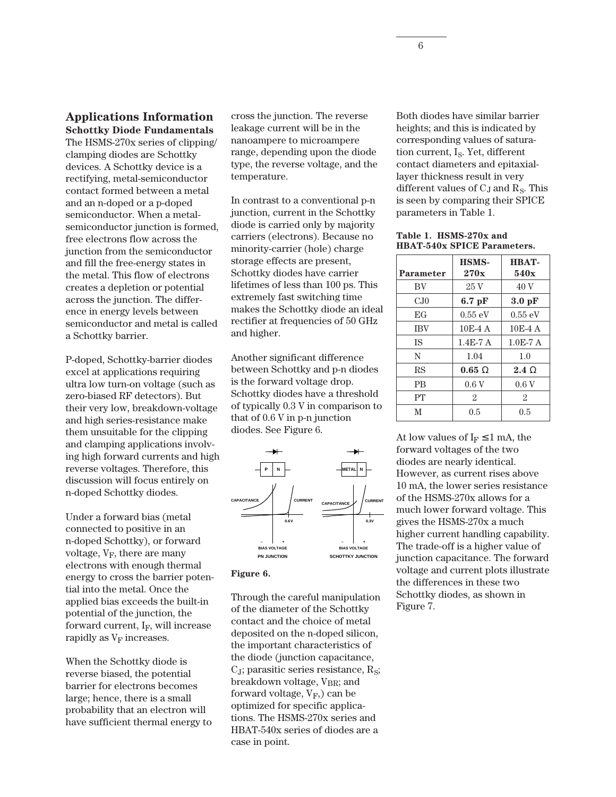#### **Applications Information Schottky Diode Fundamentals**

The HSMS-270x series of clipping/ clamping diodes are Schottky devices. A Schottky device is a rectifying, metal-semiconductor contact formed between a metal and an n-doped or a p-doped semiconductor. When a metalsemiconductor junction is formed, free electrons flow across the junction from the semiconductor and fill the free-energy states in the metal. This flow of electrons creates a depletion or potential across the junction. The difference in energy levels between semiconductor and metal is called a Schottky barrier.

P-doped, Schottky-barrier diodes excel at applications requiring ultra low turn-on voltage (such as zero-biased RF detectors). But their very low, breakdown-voltage and high series-resistance make them unsuitable for the clipping and clamping applications involving high forward currents and high reverse voltages. Therefore, this discussion will focus entirely on n-doped Schottky diodes.

Under a forward bias (metal connected to positive in an n-doped Schottky), or forward voltage,  $V_F$ , there are many electrons with enough thermal energy to cross the barrier potential into the metal. Once the applied bias exceeds the built-in potential of the junction, the forward current,  $I_F$ , will increase rapidly as  $V_F$  increases.

When the Schottky diode is reverse biased, the potential barrier for electrons becomes large; hence, there is a small probability that an electron will have sufficient thermal energy to cross the junction. The reverse leakage current will be in the nanoampere to microampere range, depending upon the diode type, the reverse voltage, and the temperature.

In contrast to a conventional p-n junction, current in the Schottky diode is carried only by majority carriers (electrons). Because no minority-carrier (hole) charge storage effects are present, Schottky diodes have carrier lifetimes of less than 100␣ ps. This extremely fast switching time makes the Schottky diode an ideal rectifier at frequencies of 50␣ GHz and higher.

Another significant difference between Schottky and p-n diodes is the forward voltage drop. Schottky diodes have a threshold of typically 0.3␣ V in comparison to that of 0.6␣ V in p-n junction diodes. See Figure 6.



#### **Figure 6.**

Through the careful manipulation of the diameter of the Schottky contact and the choice of metal deposited on the n-doped silicon, the important characteristics of the diode (junction capacitance,  $C_J$ ; parasitic series resistance,  $R_{S}$ ; breakdown voltage, V<sub>BR</sub>; and forward voltage,  $V_F$ ) can be optimized for specific applications. The HSMS-270x series and HBAT-540x series of diodes are a case in point.

Both diodes have similar barrier heights; and this is indicated by corresponding values of saturation current,  $I_S$ . Yet, different contact diameters and epitaxiallayer thickness result in very different values of  $C_J$  and  $R_S$ . This is seen by comparing their SPICE parameters in Table 1.

**Table 1. HSMS-270x and HBAT-540x SPICE Parameters.**

| Parameter  | <b>HSMS-</b><br>270x | <b>HBAT-</b><br>540x |
|------------|----------------------|----------------------|
| BV         | 25 V                 | 40 V                 |
| $C_{J}0$   | $6.7$ pF             | $3.0 \,\mathrm{pF}$  |
| EG         | 0.55 eV              | $0.55 \text{ eV}$    |
| <b>IBV</b> | $10E-4A$             | $10E-4A$             |
| <b>IS</b>  | $1.4E-7A$            | $1.0E-7A$            |
| N          | 1.04                 | 1.0                  |
| RS         | $0.65 \Omega$        | $2.4 \Omega$         |
| <b>PB</b>  | 0.6V                 | 0.6V                 |
| PT         | 2                    | $\overline{2}$       |
| М          | 0.5                  | 0.5                  |

At low values of  $I_F \leq 1$  mA, the forward voltages of the two diodes are nearly identical. However, as current rises above 10␣ mA, the lower series resistance of the HSMS-270x allows for a much lower forward voltage. This gives the HSMS-270x a much higher current handling capability. The trade-off is a higher value of junction capacitance. The forward voltage and current plots illustrate the differences in these two Schottky diodes, as shown in Figure 7.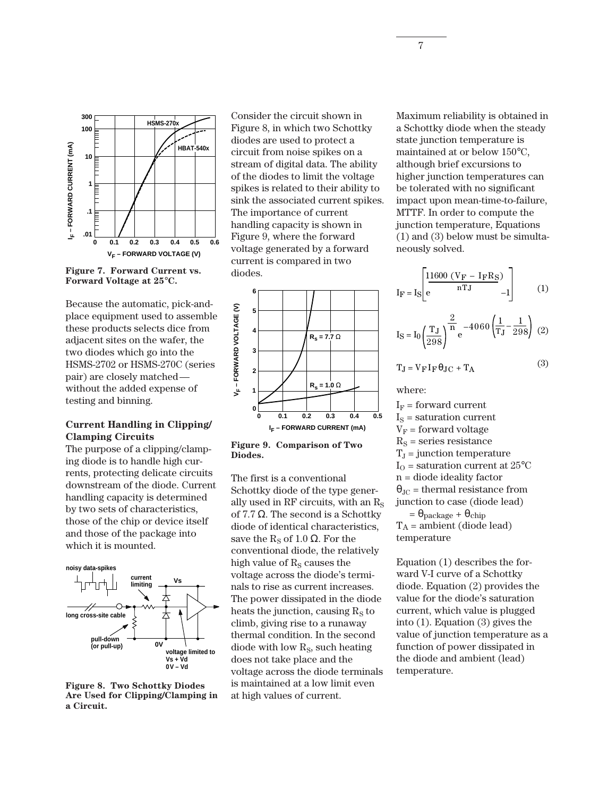

**Figure 7. Forward Current vs. Forward Voltage at 25**°**C.**

Because the automatic, pick-andplace equipment used to assemble these products selects dice from adjacent sites on the wafer, the two diodes which go into the HSMS-2702 or HSMS-270C (series pair) are closely matched without the added expense of testing and binning.

#### **Current Handling in Clipping/ Clamping Circuits**

The purpose of a clipping/clamping diode is to handle high currents, protecting delicate circuits downstream of the diode. Current handling capacity is determined by two sets of characteristics, those of the chip or device itself and those of the package into which it is mounted.



**Figure 8. Two Schottky Diodes Are Used for Clipping/Clamping in a Circuit.**

Consider the circuit shown in Figure 8, in which two Schottky diodes are used to protect a circuit from noise spikes on a stream of digital data. The ability of the diodes to limit the voltage spikes is related to their ability to sink the associated current spikes. The importance of current handling capacity is shown in Figure 9, where the forward voltage generated by a forward current is compared in two diodes.





The first is a conventional Schottky diode of the type generally used in RF circuits, with an  $R<sub>S</sub>$ of 7.7  $\Omega$ . The second is a Schottky diode of identical characteristics, save the R<sub>s</sub> of 1.0  $\Omega$ . For the conventional diode, the relatively high value of  $R<sub>S</sub>$  causes the voltage across the diode's terminals to rise as current increases. The power dissipated in the diode heats the junction, causing  $R<sub>S</sub>$  to climb, giving rise to a runaway thermal condition. In the second diode with low  $R<sub>S</sub>$ , such heating does not take place and the voltage across the diode terminals is maintained at a low limit even at high values of current.

Maximum reliability is obtained in a Schottky diode when the steady state junction temperature is maintained at or below 150°C, although brief excursions to higher junction temperatures can be tolerated with no significant impact upon mean-time-to-failure, MTTF. In order to compute the junction temperature, Equations (1) and (3) below must be simultaneously solved.

$$
I_F = I_S \left[ e^{\frac{11600 (V_F - I_F R_S)}{nTJ} - 1} \right]
$$
 (1)

$$
I_S = I_0 \left(\frac{T_J}{298}\right)^{\frac{2}{n}} e^{-4060 \left(\frac{1}{T_J} - \frac{1}{298}\right)}
$$
 (2)

$$
TJ = V_F I_F \theta JC + T_A
$$
 (3)

where:

 $I_F$  = forward current  $I<sub>S</sub>$  = saturation current  $V_F$  = forward voltage  $R<sub>S</sub>$  = series resistance  $T_J$  = junction temperature  $I_{\rm O}$  = saturation current at 25 $^{\circ}$ C n = diode ideality factor  $\theta_{\text{JC}}$  = thermal resistance from junction to case (diode lead)  $=\theta_{\text{package}} + \theta_{\text{chip}}$  $T_A$  = ambient (diode lead)

temperature Equation (1) describes the forward V-I curve of a Schottky diode. Equation (2) provides the

value for the diode's saturation current, which value is plugged into (1). Equation (3) gives the value of junction temperature as a function of power dissipated in the diode and ambient (lead) temperature.